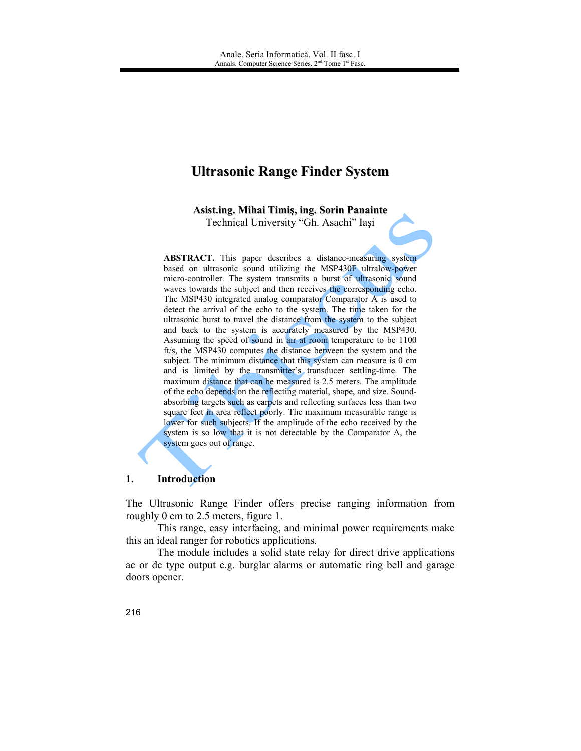# **Ultrasonic Range Finder System**

Asist.ing. Mihai Timiş, ing. Sorin Panainte

Technical University "Gh. Asachi" Iași

**ABSTRACT.** This paper describes a distance-measuring system based on ultrasonic sound utilizing the MSP430F ultralow-power micro-controller. The system transmits a burst of ultrasonic sound waves towards the subject and then receives the corresponding echo. The MSP430 integrated analog comparator Comparator A is used to detect the arrival of the echo to the system. The time taken for the ultrasonic burst to travel the distance from the system to the subject and back to the system is accurately measured by the MSP430. Assuming the speed of sound in air at room temperature to be 1100 ft/s, the MSP430 computes the distance between the system and the subject. The minimum distance that this system can measure is 0 cm and is limited by the transmitter's transducer settling-time. The maximum distance that can be measured is 2.5 meters. The amplitude of the echo depends on the reflecting material, shape, and size. Soundabsorbing targets such as carpets and reflecting surfaces less than two square feet in area reflect poorly. The maximum measurable range is lower for such subjects. If the amplitude of the echo received by the system is so low that it is not detectable by the Comparator A, the system goes out of range.

#### 1. **Introduction**

The Ultrasonic Range Finder offers precise ranging information from roughly 0 cm to 2.5 meters, figure 1.

This range, easy interfacing, and minimal power requirements make this an ideal ranger for robotics applications.

The module includes a solid state relay for direct drive applications ac or de type output e.g. burglar alarms or automatic ring bell and garage doors opener.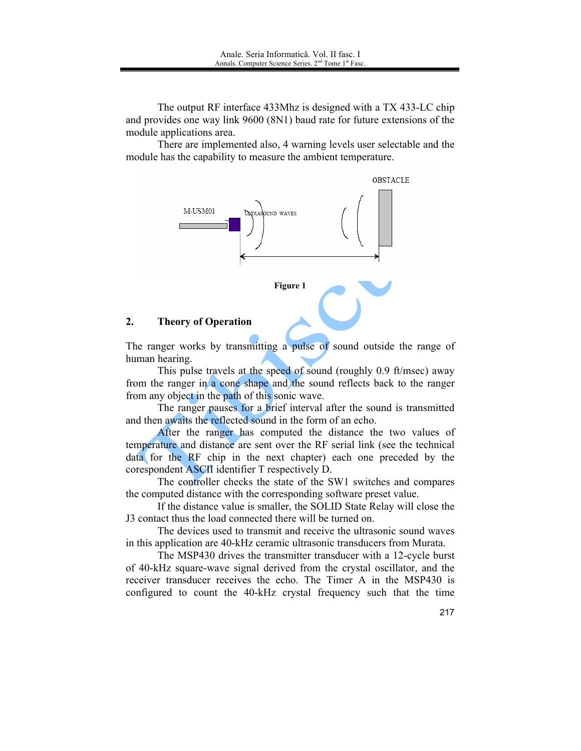The output RF interface 433Mhz is designed with a TX 433-LC chip and provides one way link 9600 (8N1) baud rate for future extensions of the module applications area.

There are implemented also, 4 warning levels user selectable and the module has the capability to measure the ambient temperature.



#### $2<sup>1</sup>$ **Theory of Operation**

The ranger works by transmitting a pulse of sound outside the range of human hearing.

This pulse travels at the speed of sound (roughly 0.9 ft/msec) away from the ranger in a cone shape and the sound reflects back to the ranger from any object in the path of this sonic wave.

The ranger pauses for a brief interval after the sound is transmitted and then awaits the reflected sound in the form of an echo.

After the ranger has computed the distance the two values of temperature and distance are sent over the RF serial link (see the technical data for the RF chip in the next chapter) each one preceded by the corespondent ASCII identifier T respectively D.

The controller checks the state of the SW1 switches and compares the computed distance with the corresponding software preset value.

If the distance value is smaller, the SOLID State Relay will close the J3 contact thus the load connected there will be turned on

The devices used to transmit and receive the ultrasonic sound waves in this application are 40-kHz ceramic ultrasonic transducers from Murata.

The MSP430 drives the transmitter transducer with a 12-cycle burst of 40-kHz square-wave signal derived from the crystal oscillator, and the receiver transducer receives the echo. The Timer A in the MSP430 is configured to count the 40-kHz crystal frequency such that the time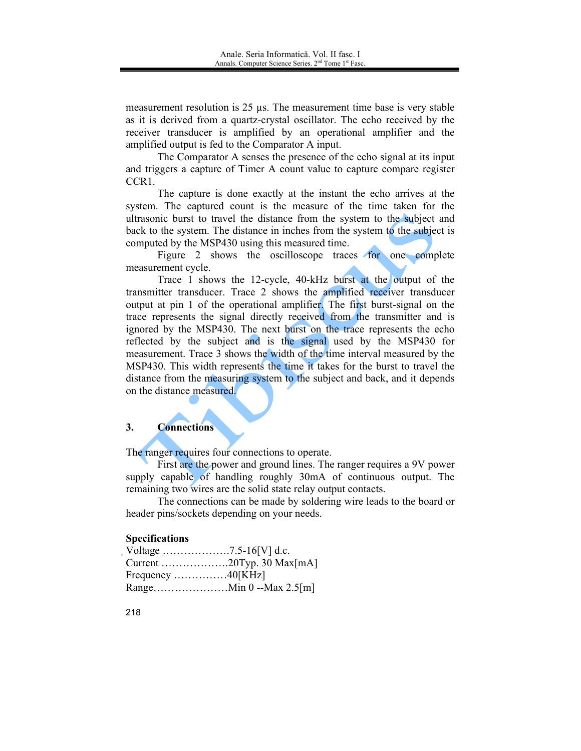measurement resolution is 25 us. The measurement time base is very stable as it is derived from a quartz-crystal oscillator. The echo received by the receiver transducer is amplified by an operational amplifier and the amplified output is fed to the Comparator A input.

The Comparator A senses the presence of the echo signal at its input and triggers a capture of Timer A count value to capture compare register CCR<sub>1</sub>.

The capture is done exactly at the instant the echo arrives at the system. The captured count is the measure of the time taken for the ultrasonic burst to travel the distance from the system to the subject and back to the system. The distance in inches from the system to the subject is computed by the MSP430 using this measured time.

Figure 2 shows the oscilloscope traces for one complete measurement cycle.

Trace 1 shows the 12-cycle, 40-kHz burst at the output of the transmitter transducer. Trace 2 shows the amplified receiver transducer output at pin 1 of the operational amplifier. The first burst-signal on the trace represents the signal directly received from the transmitter and is ignored by the MSP430. The next burst on the trace represents the echo reflected by the subject and is the signal used by the MSP430 for measurement. Trace 3 shows the width of the time interval measured by the MSP430. This width represents the time it takes for the burst to travel the distance from the measuring system to the subject and back, and it depends on the distance measured.

### $3.$ **Connections**

The ranger requires four connections to operate.

First are the power and ground lines. The ranger requires a 9V power supply capable of handling roughly 30mA of continuous output. The remaining two wires are the solid state relay output contacts.

The connections can be made by soldering wire leads to the board or header pins/sockets depending on your needs.

## **Specifications**

| Frequency $\dots \dots \dots \dots \dots 40$ [KHz] |  |
|----------------------------------------------------|--|
|                                                    |  |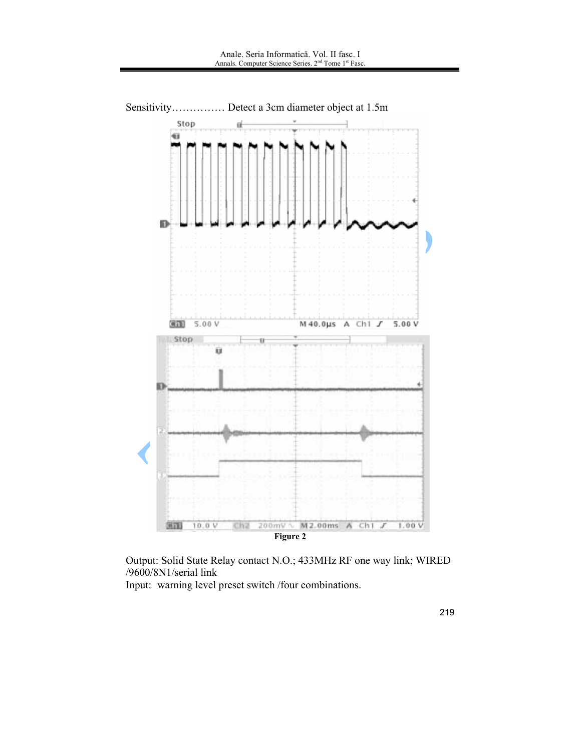

Output: Solid State Relay contact N.O.; 433MHz RF one way link; WIRED /9600/8N1/serial link

Input: warning level preset switch /four combinations.